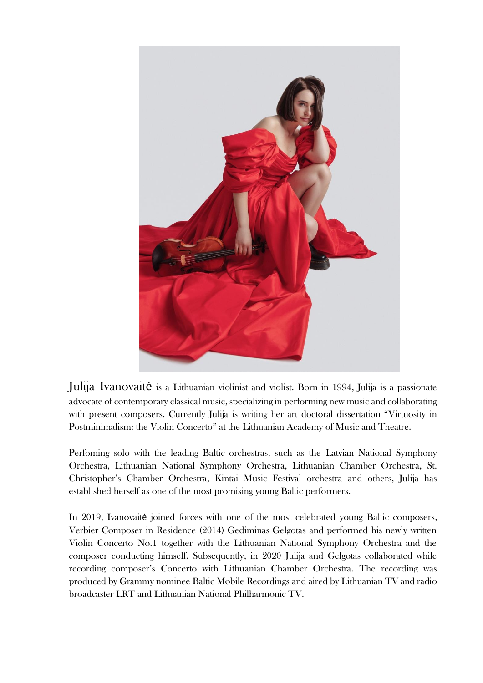

Julija Ivanovaitė is a Lithuanian violinist and violist. Born in 1994, Julija is a passionate advocate of contemporary classical music, specializing in performing new music and collaborating with present composers. Currently Julija is writing her art doctoral dissertation "Virtuosity in Postminimalism: the Violin Concerto" at the Lithuanian Academy of Music and Theatre.

Perfoming solo with the leading Baltic orchestras, such as the Latvian National Symphony Orchestra, Lithuanian National Symphony Orchestra, Lithuanian Chamber Orchestra, St. Christopher's Chamber Orchestra, Kintai Music Festival orchestra and others, Julija has established herself as one of the most promising young Baltic performers.

In 2019, Ivanovaitė joined forces with one of the most celebrated young Baltic composers, Verbier Composer in Residence (2014) Gediminas Gelgotas and performed his newly written Violin Concerto No.1 together with the Lithuanian National Symphony Orchestra and the composer conducting himself. Subsequently, in 2020 Julija and Gelgotas collaborated while recording composer's Concerto with Lithuanian Chamber Orchestra. The recording was produced by Grammy nominee Baltic Mobile Recordings and aired by Lithuanian TV and radio broadcaster LRT and Lithuanian National Philharmonic TV.